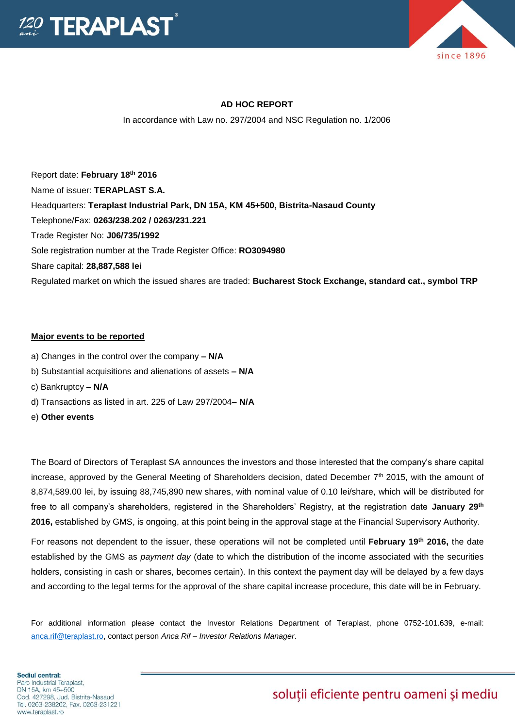



## **AD HOC REPORT**

In accordance with Law no. 297/2004 and NSC Regulation no. 1/2006

Report date: **February 18 th 2016** Name of issuer: **TERAPLAST S.A.**  Headquarters: **Teraplast Industrial Park, DN 15A, KM 45+500, Bistrita-Nasaud County** Telephone/Fax: **0263/238.202 / 0263/231.221** Trade Register No: **J06/735/1992** Sole registration number at the Trade Register Office: **RO3094980** Share capital: **28,887,588 lei** Regulated market on which the issued shares are traded: **Bucharest Stock Exchange, standard cat., symbol TRP**

#### **Major events to be reported**

- a) Changes in the control over the company **– N/A**
- b) Substantial acquisitions and alienations of assets **– N/A**
- c) Bankruptcy **– N/A**
- d) Transactions as listed in art. 225 of Law 297/2004**– N/A**
- e) **Other events**

The Board of Directors of Teraplast SA announces the investors and those interested that the company's share capital increase, approved by the General Meeting of Shareholders decision, dated December 7<sup>th</sup> 2015, with the amount of 8,874,589.00 lei, by issuing 88,745,890 new shares, with nominal value of 0.10 lei/share, which will be distributed for free to all company's shareholders, registered in the Shareholders' Registry, at the registration date **January 29th 2016,** established by GMS, is ongoing, at this point being in the approval stage at the Financial Supervisory Authority.

For reasons not dependent to the issuer, these operations will not be completed until **February 19th 2016,** the date established by the GMS as *payment day* (date to which the distribution of the income associated with the securities holders, consisting in cash or shares, becomes certain). In this context the payment day will be delayed by a few days and according to the legal terms for the approval of the share capital increase procedure, this date will be in February.

For additional information please contact the Investor Relations Department of Teraplast, phone 0752-101.639, e-mail: [anca.rif@teraplast.ro,](mailto:anca.rif@teraplast.ro) contact person *Anca Rif – Investor Relations Manager*.

# soluții eficiente pentru oameni și mediu